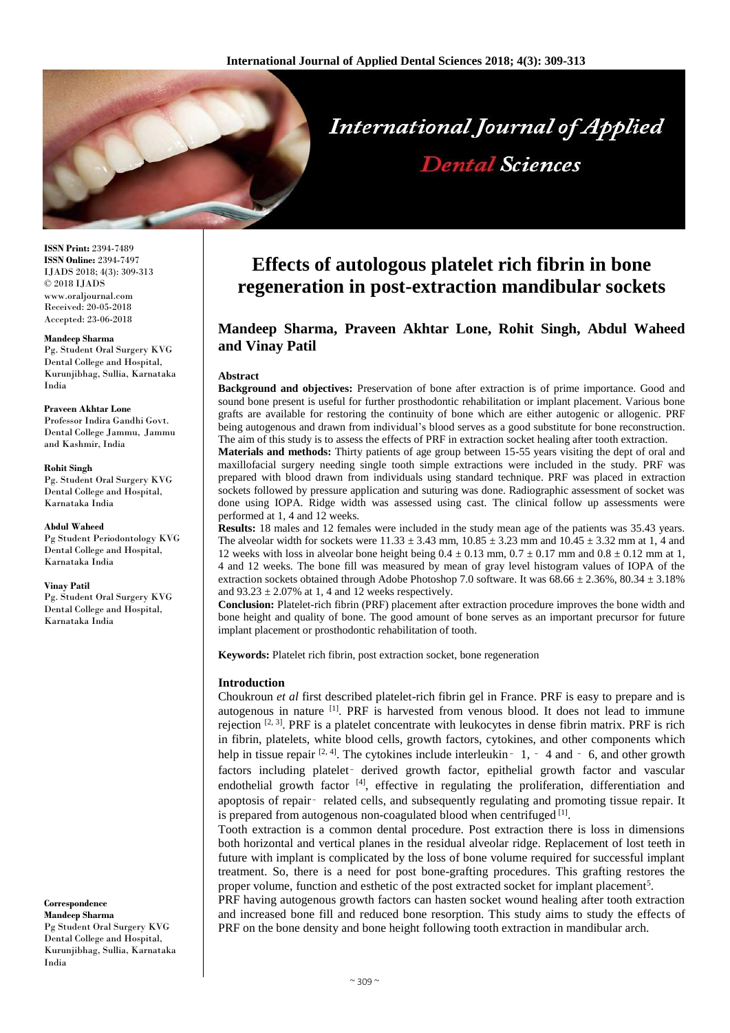

**ISSN Print:** 2394-7489 **ISSN Online:** 2394-7497 IJADS 2018; 4(3): 309-313 © 2018 IJADS www.oraljournal.com Received: 20-05-2018 Accepted: 23-06-2018

#### **Mandeep Sharma**

Pg. Student Oral Surgery KVG Dental College and Hospital, Kurunjibhag, Sullia, Karnataka India

**Praveen Akhtar Lone**

Professor Indira Gandhi Govt. Dental College Jammu, Jammu and Kashmir, India

#### **Rohit Singh**

Pg. Student Oral Surgery KVG Dental College and Hospital, Karnataka India

### **Abdul Waheed**

Pg Student Periodontology KVG Dental College and Hospital, Karnataka India

### **Vinay Patil**

Pg. Student Oral Surgery KVG Dental College and Hospital, Karnataka India

**Correspondence**

**Mandeep Sharma** Pg Student Oral Surgery KVG Dental College and Hospital, Kurunjibhag, Sullia, Karnataka India

# **Effects of autologous platelet rich fibrin in bone regeneration in post-extraction mandibular sockets**

# **Mandeep Sharma, Praveen Akhtar Lone, Rohit Singh, Abdul Waheed and Vinay Patil**

### **Abstract**

**Background and objectives:** Preservation of bone after extraction is of prime importance. Good and sound bone present is useful for further prosthodontic rehabilitation or implant placement. Various bone grafts are available for restoring the continuity of bone which are either autogenic or allogenic. PRF being autogenous and drawn from individual's blood serves as a good substitute for bone reconstruction. The aim of this study is to assess the effects of PRF in extraction socket healing after tooth extraction.

**Materials and methods:** Thirty patients of age group between 15-55 years visiting the dept of oral and maxillofacial surgery needing single tooth simple extractions were included in the study. PRF was prepared with blood drawn from individuals using standard technique. PRF was placed in extraction sockets followed by pressure application and suturing was done. Radiographic assessment of socket was done using IOPA. Ridge width was assessed using cast. The clinical follow up assessments were performed at 1, 4 and 12 weeks.

**Results:** 18 males and 12 females were included in the study mean age of the patients was 35.43 years. The alveolar width for sockets were  $11.33 \pm 3.43$  mm,  $10.85 \pm 3.23$  mm and  $10.45 \pm 3.32$  mm at 1, 4 and 12 weeks with loss in alveolar bone height being  $0.4 \pm 0.13$  mm,  $0.7 \pm 0.17$  mm and  $0.8 \pm 0.12$  mm at 1, 4 and 12 weeks. The bone fill was measured by mean of gray level histogram values of IOPA of the extraction sockets obtained through Adobe Photoshop 7.0 software. It was 68.66 ± 2.36%, 80.34 ± 3.18% and  $93.23 \pm 2.07\%$  at 1, 4 and 12 weeks respectively.

**Conclusion:** Platelet-rich fibrin (PRF) placement after extraction procedure improves the bone width and bone height and quality of bone. The good amount of bone serves as an important precursor for future implant placement or prosthodontic rehabilitation of tooth.

**Keywords:** Platelet rich fibrin, post extraction socket, bone regeneration

# **Introduction**

Choukroun *et al* first described platelet-rich fibrin gel in France. PRF is easy to prepare and is autogenous in nature <sup>[1]</sup>. PRF is harvested from venous blood. It does not lead to immune rejection  $[2, 3]$ . PRF is a platelet concentrate with leukocytes in dense fibrin matrix. PRF is rich in fibrin, platelets, white blood cells, growth factors, cytokines, and other components which help in tissue repair  $[2, 4]$ . The cytokines include interleukin  $-1$ ,  $-4$  and  $-6$ , and other growth factors including platelet‑ derived growth factor, epithelial growth factor and vascular endothelial growth factor <sup>[4]</sup>, effective in regulating the proliferation, differentiation and apoptosis of repair‑ related cells, and subsequently regulating and promoting tissue repair. It is prepared from autogenous non-coagulated blood when centrifuged [1].

Tooth extraction is a common dental procedure. Post extraction there is loss in dimensions both horizontal and vertical planes in the residual alveolar ridge. Replacement of lost teeth in future with implant is complicated by the loss of bone volume required for successful implant treatment. So, there is a need for post bone-grafting procedures. This grafting restores the proper volume, function and esthetic of the post extracted socket for implant placement<sup>5</sup>.

PRF having autogenous growth factors can hasten socket wound healing after tooth extraction and increased bone fill and reduced bone resorption. This study aims to study the effects of PRF on the bone density and bone height following tooth extraction in mandibular arch.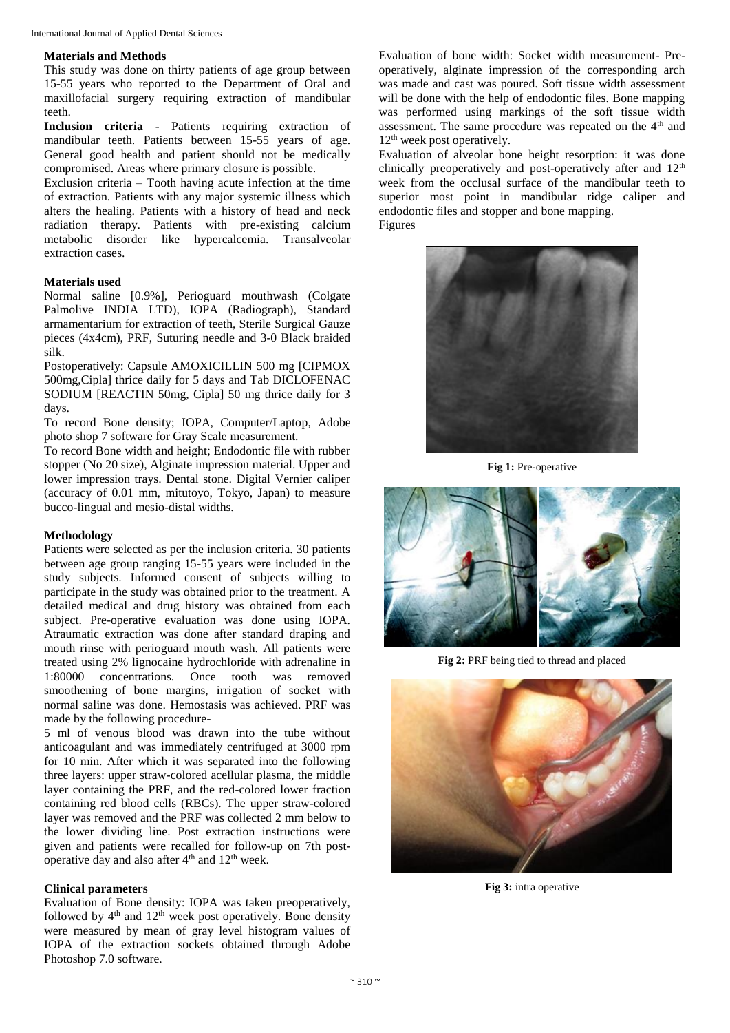# **Materials and Methods**

This study was done on thirty patients of age group between 15-55 years who reported to the Department of Oral and maxillofacial surgery requiring extraction of mandibular teeth.

**Inclusion criteria** - Patients requiring extraction of mandibular teeth. Patients between 15-55 years of age. General good health and patient should not be medically compromised. Areas where primary closure is possible.

Exclusion criteria – Tooth having acute infection at the time of extraction. Patients with any major systemic illness which alters the healing. Patients with a history of head and neck radiation therapy. Patients with pre-existing calcium metabolic disorder like hypercalcemia. Transalveolar extraction cases.

# **Materials used**

Normal saline [0.9%], Perioguard mouthwash (Colgate Palmolive INDIA LTD), IOPA (Radiograph), Standard armamentarium for extraction of teeth, Sterile Surgical Gauze pieces (4x4cm), PRF, Suturing needle and 3-0 Black braided silk.

Postoperatively: Capsule AMOXICILLIN 500 mg [CIPMOX 500mg,Cipla] thrice daily for 5 days and Tab DICLOFENAC SODIUM [REACTIN 50mg, Cipla] 50 mg thrice daily for 3 days.

To record Bone density; IOPA, Computer/Laptop, Adobe photo shop 7 software for Gray Scale measurement.

To record Bone width and height; Endodontic file with rubber stopper (No 20 size), Alginate impression material. Upper and lower impression trays. Dental stone. Digital Vernier caliper (accuracy of 0.01 mm, mitutoyo, Tokyo, Japan) to measure bucco-lingual and mesio-distal widths.

### **Methodology**

Patients were selected as per the inclusion criteria. 30 patients between age group ranging 15-55 years were included in the study subjects. Informed consent of subjects willing to participate in the study was obtained prior to the treatment. A detailed medical and drug history was obtained from each subject. Pre-operative evaluation was done using IOPA. Atraumatic extraction was done after standard draping and mouth rinse with perioguard mouth wash. All patients were treated using 2% lignocaine hydrochloride with adrenaline in 1:80000 concentrations. Once tooth was removed smoothening of bone margins, irrigation of socket with normal saline was done. Hemostasis was achieved. PRF was made by the following procedure-

5 ml of venous blood was drawn into the tube without anticoagulant and was immediately centrifuged at 3000 rpm for 10 min. After which it was separated into the following three layers: upper straw-colored acellular plasma, the middle layer containing the PRF, and the red-colored lower fraction containing red blood cells (RBCs). The upper straw-colored layer was removed and the PRF was collected 2 mm below to the lower dividing line. Post extraction instructions were given and patients were recalled for follow-up on 7th postoperative day and also after  $4<sup>th</sup>$  and  $12<sup>th</sup>$  week.

### **Clinical parameters**

Evaluation of Bone density: IOPA was taken preoperatively, followed by  $4<sup>th</sup>$  and  $12<sup>th</sup>$  week post operatively. Bone density were measured by mean of gray level histogram values of IOPA of the extraction sockets obtained through Adobe Photoshop 7.0 software.

Evaluation of bone width: Socket width measurement- Preoperatively, alginate impression of the corresponding arch was made and cast was poured. Soft tissue width assessment will be done with the help of endodontic files. Bone mapping was performed using markings of the soft tissue width assessment. The same procedure was repeated on the 4<sup>th</sup> and 12<sup>th</sup> week post operatively.

Evaluation of alveolar bone height resorption: it was done clinically preoperatively and post-operatively after and  $12<sup>th</sup>$ week from the occlusal surface of the mandibular teeth to superior most point in mandibular ridge caliper and endodontic files and stopper and bone mapping. Figures



**Fig 1:** Pre-operative



**Fig 2:** PRF being tied to thread and placed



**Fig 3:** intra operative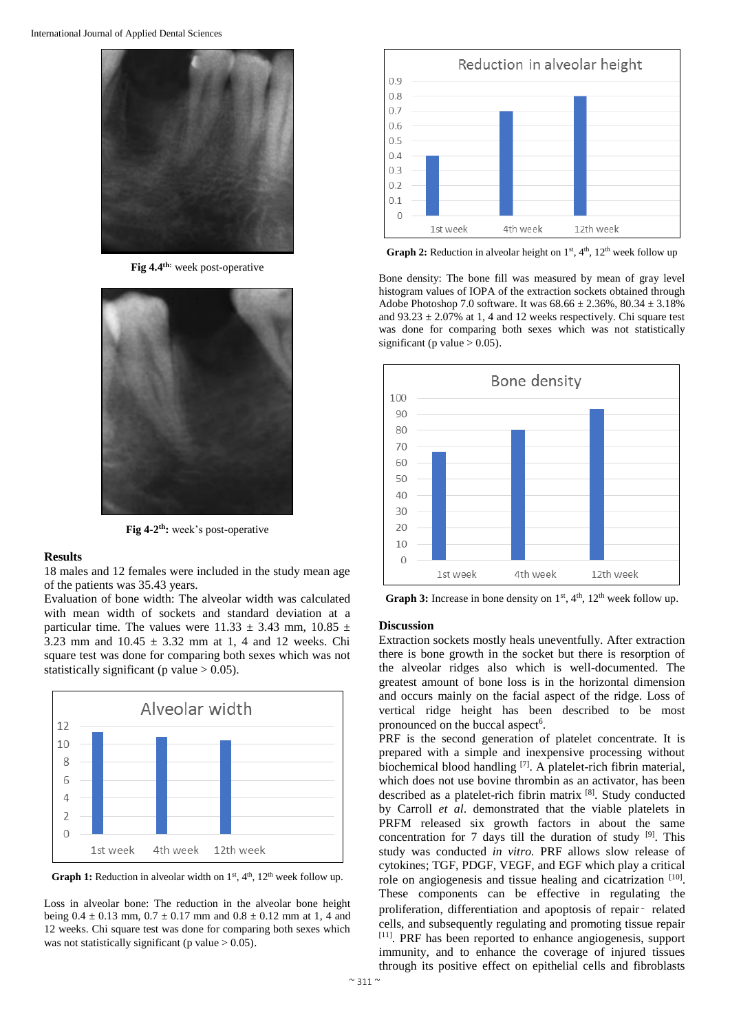

**Fig 4.4 th:** week post-operative



**Fig 4-2 th:** week's post-operative

## **Results**

18 males and 12 females were included in the study mean age of the patients was 35.43 years.

Evaluation of bone width: The alveolar width was calculated with mean width of sockets and standard deviation at a particular time. The values were  $11.33 \pm 3.43$  mm,  $10.85 \pm 1.5$ 3.23 mm and  $10.45 \pm 3.32$  mm at 1, 4 and 12 weeks. Chi square test was done for comparing both sexes which was not statistically significant (p value  $> 0.05$ ).



**Graph 1:** Reduction in alveolar width on  $1<sup>st</sup>$ ,  $4<sup>th</sup>$ ,  $12<sup>th</sup>$  week follow up.

Loss in alveolar bone: The reduction in the alveolar bone height being  $0.4 \pm 0.13$  mm,  $0.7 \pm 0.17$  mm and  $0.8 \pm 0.12$  mm at 1, 4 and 12 weeks. Chi square test was done for comparing both sexes which was not statistically significant (p value  $> 0.05$ ).



**Graph 2:** Reduction in alveolar height on  $1<sup>st</sup>$ ,  $4<sup>th</sup>$ ,  $12<sup>th</sup>$  week follow up

Bone density: The bone fill was measured by mean of gray level histogram values of IOPA of the extraction sockets obtained through Adobe Photoshop 7.0 software. It was  $68.66 \pm 2.36\%$ ,  $80.34 \pm 3.18\%$ and  $93.23 \pm 2.07\%$  at 1, 4 and 12 weeks respectively. Chi square test was done for comparing both sexes which was not statistically significant (p value  $> 0.05$ ).



**Graph 3:** Increase in bone density on  $1<sup>st</sup>$ ,  $4<sup>th</sup>$ ,  $12<sup>th</sup>$  week follow up.

# **Discussion**

Extraction sockets mostly heals uneventfully. After extraction there is bone growth in the socket but there is resorption of the alveolar ridges also which is well-documented. The greatest amount of bone loss is in the horizontal dimension and occurs mainly on the facial aspect of the ridge. Loss of vertical ridge height has been described to be most pronounced on the buccal aspect<sup>6</sup>.

PRF is the second generation of platelet concentrate. It is prepared with a simple and inexpensive processing without biochemical blood handling <sup>[7]</sup>. A platelet-rich fibrin material, which does not use bovine thrombin as an activator, has been described as a platelet-rich fibrin matrix [8]. Study conducted by Carroll *et al*. demonstrated that the viable platelets in PRFM released six growth factors in about the same concentration for 7 days till the duration of study  $[9]$ . This study was conducted *in vitro.* PRF allows slow release of cytokines; TGF, PDGF, VEGF, and EGF which play a critical role on angiogenesis and tissue healing and cicatrization  $[10]$ . These components can be effective in regulating the proliferation, differentiation and apoptosis of repair‑ related cells, and subsequently regulating and promoting tissue repair [11] . PRF has been reported to enhance angiogenesis, support immunity, and to enhance the coverage of injured tissues through its positive effect on epithelial cells and fibroblasts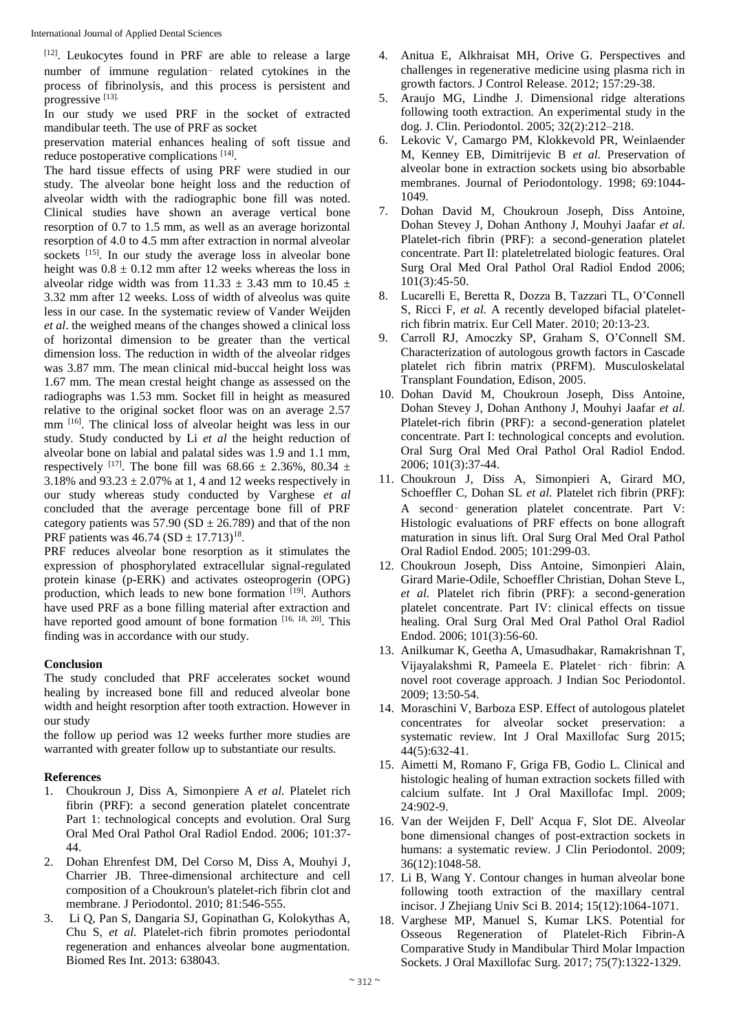[12]. Leukocytes found in PRF are able to release a large number of immune regulation‑ related cytokines in the process of fibrinolysis, and this process is persistent and progressive [13].

In our study we used PRF in the socket of extracted mandibular teeth. The use of PRF as socket

preservation material enhances healing of soft tissue and reduce postoperative complications [14].

The hard tissue effects of using PRF were studied in our study. The alveolar bone height loss and the reduction of alveolar width with the radiographic bone fill was noted. Clinical studies have shown an average vertical bone resorption of 0.7 to 1.5 mm, as well as an average horizontal resorption of 4.0 to 4.5 mm after extraction in normal alveolar sockets <sup>[15]</sup>. In our study the average loss in alveolar bone height was  $0.8 \pm 0.12$  mm after 12 weeks whereas the loss in alveolar ridge width was from 11.33  $\pm$  3.43 mm to 10.45  $\pm$ 3.32 mm after 12 weeks. Loss of width of alveolus was quite less in our case. In the systematic review of Vander Weijden *et al*. the weighed means of the changes showed a clinical loss of horizontal dimension to be greater than the vertical dimension loss. The reduction in width of the alveolar ridges was 3.87 mm. The mean clinical mid-buccal height loss was 1.67 mm. The mean crestal height change as assessed on the radiographs was 1.53 mm. Socket fill in height as measured relative to the original socket floor was on an average 2.57 mm [16]. The clinical loss of alveolar height was less in our study. Study conducted by Li *et al* the height reduction of alveolar bone on labial and palatal sides was 1.9 and 1.1 mm, respectively <sup>[17]</sup>. The bone fill was  $68.66 \pm 2.36\%$ ,  $80.34 \pm 1.5$ 3.18% and  $93.23 \pm 2.07$ % at 1, 4 and 12 weeks respectively in our study whereas study conducted by Varghese *et al* concluded that the average percentage bone fill of PRF category patients was  $57.90$  (SD  $\pm$  26.789) and that of the non PRF patients was  $46.74$  (SD  $\pm$  17.713)<sup>18</sup>.

PRF reduces alveolar bone resorption as it stimulates the expression of phosphorylated extracellular signal-regulated protein kinase (p-ERK) and activates osteoprogerin (OPG) production, which leads to new bone formation [19]. Authors have used PRF as a bone filling material after extraction and have reported good amount of bone formation [16, 18, 20]. This finding was in accordance with our study.

# **Conclusion**

The study concluded that PRF accelerates socket wound healing by increased bone fill and reduced alveolar bone width and height resorption after tooth extraction. However in our study

the follow up period was 12 weeks further more studies are warranted with greater follow up to substantiate our results.

# **References**

- 1. Choukroun J, Diss A, Simonpiere A *et al.* Platelet rich fibrin (PRF): a second generation platelet concentrate Part 1: technological concepts and evolution. Oral Surg Oral Med Oral Pathol Oral Radiol Endod. 2006; 101:37- 44.
- 2. Dohan Ehrenfest DM, Del Corso M, Diss A, Mouhyi J, Charrier JB. Three-dimensional architecture and cell composition of a Choukroun's platelet-rich fibrin clot and membrane. J Periodontol. 2010; 81:546-555.
- 3. Li Q, Pan S, Dangaria SJ, Gopinathan G, Kolokythas A, Chu S, *et al.* Platelet-rich fibrin promotes periodontal regeneration and enhances alveolar bone augmentation. Biomed Res Int. 2013: 638043.
- 4. Anitua E, Alkhraisat MH, Orive G. Perspectives and challenges in regenerative medicine using plasma rich in growth factors. J Control Release. 2012; 157:29-38.
- 5. Araujo MG, Lindhe J. Dimensional ridge alterations following tooth extraction. An experimental study in the dog. J. Clin. Periodontol. 2005; 32(2):212–218.
- 6. Lekovic V, Camargo PM, Klokkevold PR, Weinlaender M, Kenney EB, Dimitrijevic B *et al.* Preservation of alveolar bone in extraction sockets using bio absorbable membranes. Journal of Periodontology. 1998; 69:1044- 1049.
- 7. Dohan David M, Choukroun Joseph, Diss Antoine, Dohan Stevey J, Dohan Anthony J, Mouhyi Jaafar *et al.* Platelet-rich fibrin (PRF): a second-generation platelet concentrate. Part II: plateletrelated biologic features. Oral Surg Oral Med Oral Pathol Oral Radiol Endod 2006; 101(3):45-50.
- 8. Lucarelli E, Beretta R, Dozza B, Tazzari TL, O'Connell S, Ricci F, *et al.* A recently developed bifacial plateletrich fibrin matrix. Eur Cell Mater. 2010; 20:13-23.
- 9. Carroll RJ, Amoczky SP, Graham S, O'Connell SM. Characterization of autologous growth factors in Cascade platelet rich fibrin matrix (PRFM). Musculoskelatal Transplant Foundation, Edison, 2005.
- 10. Dohan David M, Choukroun Joseph, Diss Antoine, Dohan Stevey J, Dohan Anthony J, Mouhyi Jaafar *et al.* Platelet-rich fibrin (PRF): a second-generation platelet concentrate. Part I: technological concepts and evolution. Oral Surg Oral Med Oral Pathol Oral Radiol Endod. 2006; 101(3):37-44.
- 11. Choukroun J, Diss A, Simonpieri A, Girard MO, Schoeffler C, Dohan SL *et al.* Platelet rich fibrin (PRF): A second– generation platelet concentrate. Part V: Histologic evaluations of PRF effects on bone allograft maturation in sinus lift. Oral Surg Oral Med Oral Pathol Oral Radiol Endod. 2005; 101:299-03.
- 12. Choukroun Joseph, Diss Antoine, Simonpieri Alain, Girard Marie-Odile, Schoeffler Christian, Dohan Steve L, *et al.* Platelet rich fibrin (PRF): a second-generation platelet concentrate. Part IV: clinical effects on tissue healing. Oral Surg Oral Med Oral Pathol Oral Radiol Endod. 2006; 101(3):56-60.
- 13. Anilkumar K, Geetha A, Umasudhakar, Ramakrishnan T, Vijayalakshmi R, Pameela E. Platelet‑ rich‑ fibrin: A novel root coverage approach. J Indian Soc Periodontol. 2009; 13:50-54.
- 14. Moraschini V, Barboza ESP. Effect of autologous platelet concentrates for alveolar socket preservation: a systematic review. Int J Oral Maxillofac Surg 2015; 44(5):632-41.
- 15. Aimetti M, Romano F, Griga FB, Godio L. Clinical and histologic healing of human extraction sockets filled with calcium sulfate. Int J Oral Maxillofac Impl. 2009; 24:902-9.
- 16. Van der Weijden F, Dell' Acqua F, Slot DE. Alveolar bone dimensional changes of post-extraction sockets in humans: a systematic review. J Clin Periodontol. 2009; 36(12):1048-58.
- 17. Li B, Wang Y. Contour changes in human alveolar bone following tooth extraction of the maxillary central incisor. J Zhejiang Univ Sci B. 2014; 15(12):1064-1071.
- 18. Varghese MP, Manuel S, Kumar LKS. Potential for Osseous Regeneration of Platelet-Rich Fibrin-A Comparative Study in Mandibular Third Molar Impaction Sockets. J Oral Maxillofac Surg. 2017; 75(7):1322-1329.